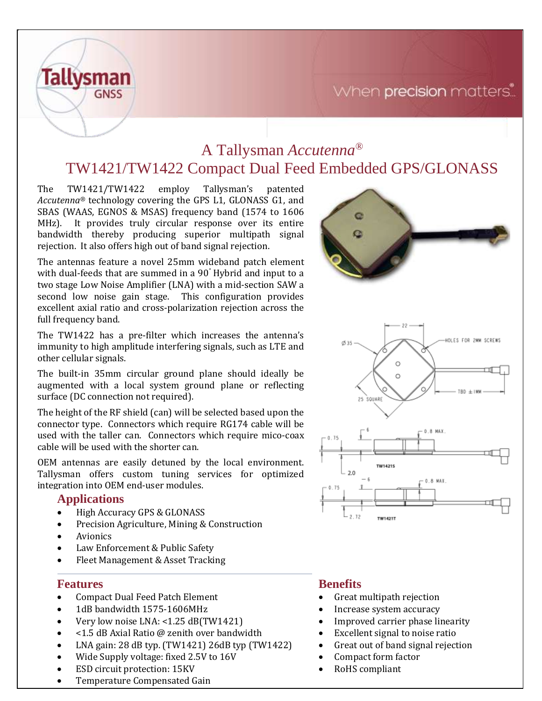## When precision matters.



Tallysman's patented The TW1421/TW1422 employ *Accutenna®* technology covering the GPS L1, GLONASS G1, and SBAS (WAAS, EGNOS & MSAS) frequency band (1574 to 1606 MHz). It provides truly circular response over its entire bandwidth thereby producing superior multipath signal rejection. It also offers high out of band signal rejection.

The antennas feature a novel 25mm wideband patch element with dual-feeds that are summed in a 90° Hybrid and input to a two stage Low Noise Amplifier (LNA) with a mid-section SAW a second low noise gain stage. This configuration provides excellent axial ratio and cross-polarization rejection across the full frequency band.

The TW1422 has a pre-filter which increases the antenna's immunity to high amplitude interfering signals, such as LTE and other cellular signals.

The built-in 35mm circular ground plane should ideally be augmented with a local system ground plane or reflecting surface (DC connection not required).

The height of the RF shield (can) will be selected based upon the connector type. Connectors which require RG174 cable will be used with the taller can. Connectors which require mico-coax cable will be used with the shorter can.

OEM antennas are easily detuned by the local environment. Tallysman offers custom tuning services for optimized integration into OEM end-user modules.

### **Applications**

**Tallysman** 

**GNSS** 

- High Accuracy GPS & GLONASS
- Precision Agriculture, Mining & Construction
- **Avionics**
- Law Enforcement & Public Safety
- Fleet Management & Asset Tracking

### **Features**

- Compact Dual Feed Patch Element
- 1dB bandwidth 1575-1606MHz
- Very low noise LNA: <1.25 dB(TW1421)
- <1.5 dB Axial Ratio @ zenith over bandwidth
- LNA gain: 28 dB typ. (TW1421) 26dB typ (TW1422)
- Wide Supply voltage: fixed 2.5V to 16V
- ESD circuit protection: 15KV
- Temperature Compensated Gain

### **Benefits**

- Great multipath rejection
- Increase system accuracy
- Improved carrier phase linearity
- Excellent signal to noise ratio
- Great out of band signal rejection
- Compact form factor
	- RoHS compliant